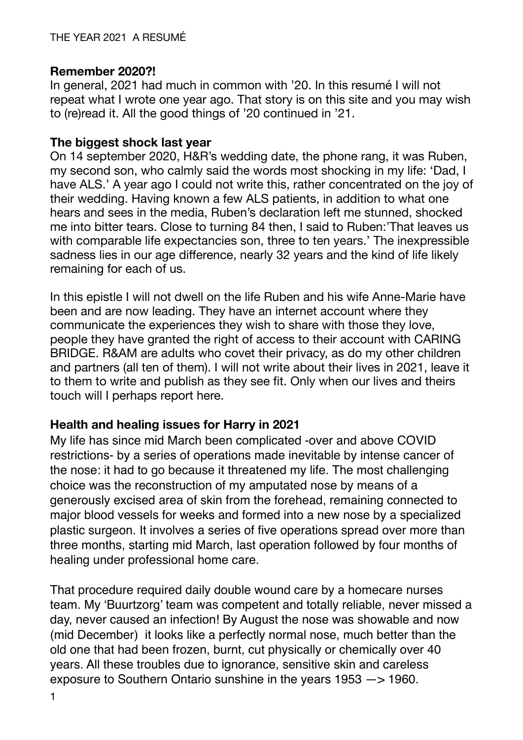## **Remember 2020?!**

In general, 2021 had much in common with '20. In this resumé I will not repeat what I wrote one year ago. That story is on this site and you may wish to (re)read it. All the good things of '20 continued in '21.

## **The biggest shock last year**

On 14 september 2020, H&R's wedding date, the phone rang, it was Ruben, my second son, who calmly said the words most shocking in my life: 'Dad, I have ALS.' A year ago I could not write this, rather concentrated on the joy of their wedding. Having known a few ALS patients, in addition to what one hears and sees in the media, Ruben's declaration left me stunned, shocked me into bitter tears. Close to turning 84 then, I said to Ruben:'That leaves us with comparable life expectancies son, three to ten years.' The inexpressible sadness lies in our age difference, nearly 32 years and the kind of life likely remaining for each of us.

In this epistle I will not dwell on the life Ruben and his wife Anne-Marie have been and are now leading. They have an internet account where they communicate the experiences they wish to share with those they love, people they have granted the right of access to their account with CARING BRIDGE. R&AM are adults who covet their privacy, as do my other children and partners (all ten of them). I will not write about their lives in 2021, leave it to them to write and publish as they see fit. Only when our lives and theirs touch will I perhaps report here.

# **Health and healing issues for Harry in 2021**

My life has since mid March been complicated -over and above COVID restrictions- by a series of operations made inevitable by intense cancer of the nose: it had to go because it threatened my life. The most challenging choice was the reconstruction of my amputated nose by means of a generously excised area of skin from the forehead, remaining connected to major blood vessels for weeks and formed into a new nose by a specialized plastic surgeon. It involves a series of five operations spread over more than three months, starting mid March, last operation followed by four months of healing under professional home care.

That procedure required daily double wound care by a homecare nurses team. My 'Buurtzorg' team was competent and totally reliable, never missed a day, never caused an infection! By August the nose was showable and now (mid December) it looks like a perfectly normal nose, much better than the old one that had been frozen, burnt, cut physically or chemically over 40 years. All these troubles due to ignorance, sensitive skin and careless exposure to Southern Ontario sunshine in the years 1953 —> 1960.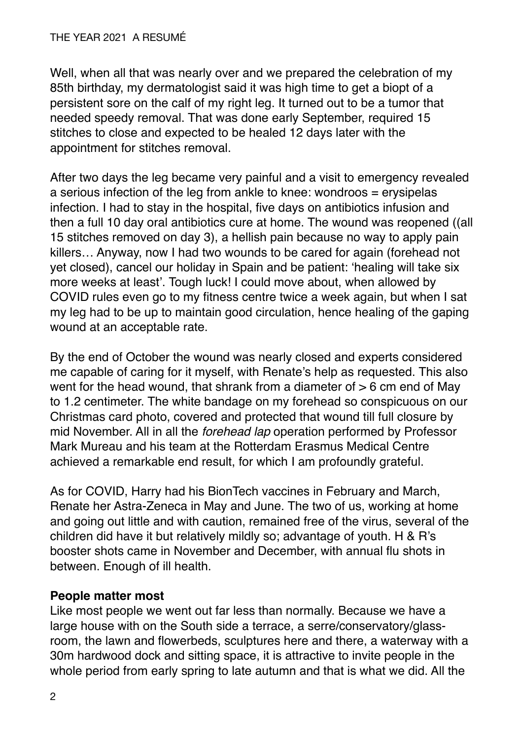Well, when all that was nearly over and we prepared the celebration of my 85th birthday, my dermatologist said it was high time to get a biopt of a persistent sore on the calf of my right leg. It turned out to be a tumor that needed speedy removal. That was done early September, required 15 stitches to close and expected to be healed 12 days later with the appointment for stitches removal.

After two days the leg became very painful and a visit to emergency revealed a serious infection of the leg from ankle to knee: wondroos = erysipelas infection. I had to stay in the hospital, five days on antibiotics infusion and then a full 10 day oral antibiotics cure at home. The wound was reopened ((all 15 stitches removed on day 3), a hellish pain because no way to apply pain killers… Anyway, now I had two wounds to be cared for again (forehead not yet closed), cancel our holiday in Spain and be patient: 'healing will take six more weeks at least'. Tough luck! I could move about, when allowed by COVID rules even go to my fitness centre twice a week again, but when I sat my leg had to be up to maintain good circulation, hence healing of the gaping wound at an acceptable rate.

By the end of October the wound was nearly closed and experts considered me capable of caring for it myself, with Renate's help as requested. This also went for the head wound, that shrank from a diameter of  $> 6$  cm end of May to 1.2 centimeter. The white bandage on my forehead so conspicuous on our Christmas card photo, covered and protected that wound till full closure by mid November. All in all the *forehead lap* operation performed by Professor Mark Mureau and his team at the Rotterdam Erasmus Medical Centre achieved a remarkable end result, for which I am profoundly grateful.

As for COVID, Harry had his BionTech vaccines in February and March, Renate her Astra-Zeneca in May and June. The two of us, working at home and going out little and with caution, remained free of the virus, several of the children did have it but relatively mildly so; advantage of youth. H & R's booster shots came in November and December, with annual flu shots in between. Enough of ill health.

# **People matter most**

Like most people we went out far less than normally. Because we have a large house with on the South side a terrace, a serre/conservatory/glassroom, the lawn and flowerbeds, sculptures here and there, a waterway with a 30m hardwood dock and sitting space, it is attractive to invite people in the whole period from early spring to late autumn and that is what we did. All the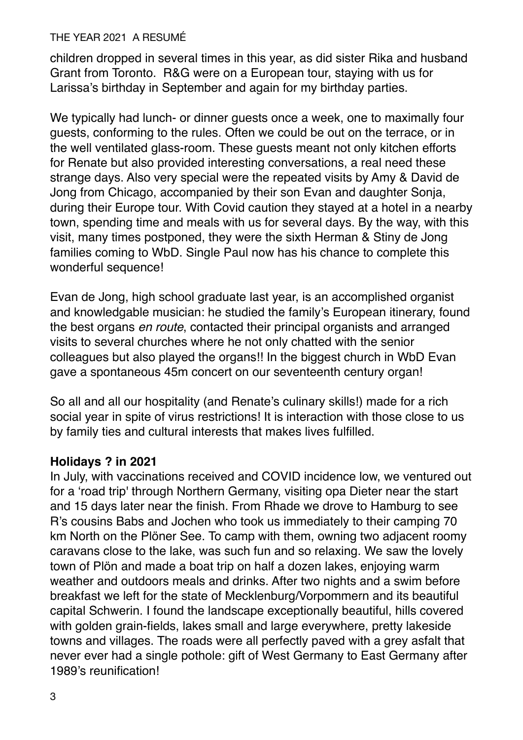children dropped in several times in this year, as did sister Rika and husband Grant from Toronto. R&G were on a European tour, staying with us for Larissa's birthday in September and again for my birthday parties.

We typically had lunch- or dinner guests once a week, one to maximally four guests, conforming to the rules. Often we could be out on the terrace, or in the well ventilated glass-room. These guests meant not only kitchen efforts for Renate but also provided interesting conversations, a real need these strange days. Also very special were the repeated visits by Amy & David de Jong from Chicago, accompanied by their son Evan and daughter Sonja, during their Europe tour. With Covid caution they stayed at a hotel in a nearby town, spending time and meals with us for several days. By the way, with this visit, many times postponed, they were the sixth Herman & Stiny de Jong families coming to WbD. Single Paul now has his chance to complete this wonderful sequence!

Evan de Jong, high school graduate last year, is an accomplished organist and knowledgable musician: he studied the family's European itinerary, found the best organs *en route*, contacted their principal organists and arranged visits to several churches where he not only chatted with the senior colleagues but also played the organs!! In the biggest church in WbD Evan gave a spontaneous 45m concert on our seventeenth century organ!

So all and all our hospitality (and Renate's culinary skills!) made for a rich social year in spite of virus restrictions! It is interaction with those close to us by family ties and cultural interests that makes lives fulfilled.

# **Holidays ? in 2021**

In July, with vaccinations received and COVID incidence low, we ventured out for a 'road trip' through Northern Germany, visiting opa Dieter near the start and 15 days later near the finish. From Rhade we drove to Hamburg to see R's cousins Babs and Jochen who took us immediately to their camping 70 km North on the Plöner See. To camp with them, owning two adjacent roomy caravans close to the lake, was such fun and so relaxing. We saw the lovely town of Plön and made a boat trip on half a dozen lakes, enjoying warm weather and outdoors meals and drinks. After two nights and a swim before breakfast we left for the state of Mecklenburg/Vorpommern and its beautiful capital Schwerin. I found the landscape exceptionally beautiful, hills covered with golden grain-fields, lakes small and large everywhere, pretty lakeside towns and villages. The roads were all perfectly paved with a grey asfalt that never ever had a single pothole: gift of West Germany to East Germany after 1989's reunification!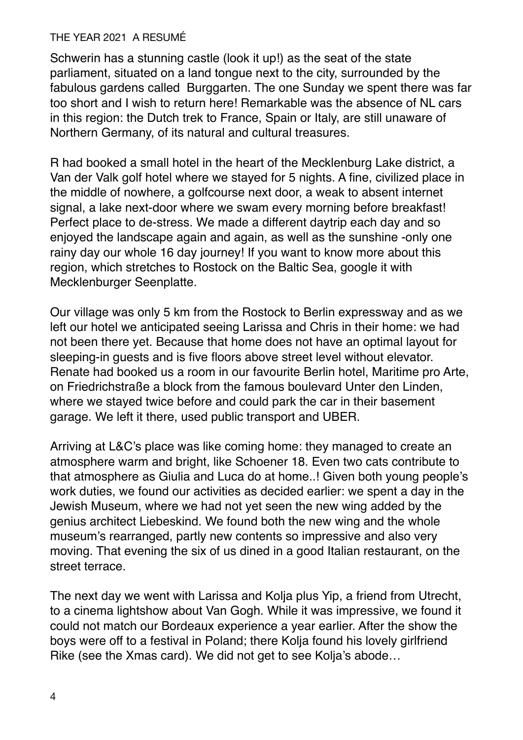Schwerin has a stunning castle (look it up!) as the seat of the state parliament, situated on a land tongue next to the city, surrounded by the fabulous gardens called Burggarten. The one Sunday we spent there was far too short and I wish to return here! Remarkable was the absence of NL cars in this region: the Dutch trek to France, Spain or Italy, are still unaware of Northern Germany, of its natural and cultural treasures.

R had booked a small hotel in the heart of the Mecklenburg Lake district, a Van der Valk golf hotel where we stayed for 5 nights. A fine, civilized place in the middle of nowhere, a golfcourse next door, a weak to absent internet signal, a lake next-door where we swam every morning before breakfast! Perfect place to de-stress. We made a different daytrip each day and so enjoyed the landscape again and again, as well as the sunshine -only one rainy day our whole 16 day journey! If you want to know more about this region, which stretches to Rostock on the Baltic Sea, google it with Mecklenburger Seenplatte.

Our village was only 5 km from the Rostock to Berlin expressway and as we left our hotel we anticipated seeing Larissa and Chris in their home: we had not been there yet. Because that home does not have an optimal layout for sleeping-in guests and is five floors above street level without elevator. Renate had booked us a room in our favourite Berlin hotel, Maritime pro Arte, on Friedrichstraße a block from the famous boulevard Unter den Linden, where we stayed twice before and could park the car in their basement garage. We left it there, used public transport and UBER.

Arriving at L&C's place was like coming home: they managed to create an atmosphere warm and bright, like Schoener 18. Even two cats contribute to that atmosphere as Giulia and Luca do at home..! Given both young people's work duties, we found our activities as decided earlier: we spent a day in the Jewish Museum, where we had not yet seen the new wing added by the genius architect Liebeskind. We found both the new wing and the whole museum's rearranged, partly new contents so impressive and also very moving. That evening the six of us dined in a good Italian restaurant, on the street terrace.

The next day we went with Larissa and Kolja plus Yip, a friend from Utrecht, to a cinema lightshow about Van Gogh. While it was impressive, we found it could not match our Bordeaux experience a year earlier. After the show the boys were off to a festival in Poland; there Kolja found his lovely girlfriend Rike (see the Xmas card). We did not get to see Kolja's abode…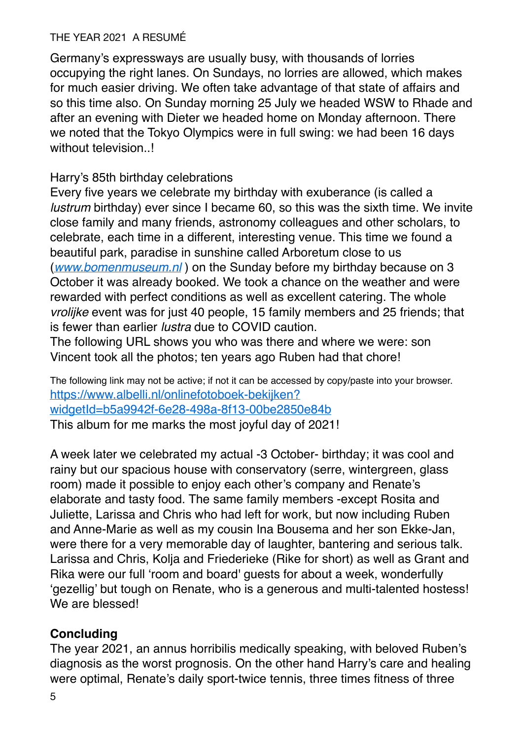Germany's expressways are usually busy, with thousands of lorries occupying the right lanes. On Sundays, no lorries are allowed, which makes for much easier driving. We often take advantage of that state of affairs and so this time also. On Sunday morning 25 July we headed WSW to Rhade and after an evening with Dieter we headed home on Monday afternoon. There we noted that the Tokyo Olympics were in full swing: we had been 16 days without television..!

## Harry's 85th birthday celebrations

Every five years we celebrate my birthday with exuberance (is called a *lustrum* birthday) ever since I became 60, so this was the sixth time. We invite close family and many friends, astronomy colleagues and other scholars, to celebrate, each time in a different, interesting venue. This time we found a beautiful park, paradise in sunshine called Arboretum close to us (*[www.bomenmuseum.nl](http://www.bomenmuseum.nl/)* ) on the Sunday before my birthday because on 3 October it was already booked. We took a chance on the weather and were rewarded with perfect conditions as well as excellent catering. The whole *vrolijke* event was for just 40 people, 15 family members and 25 friends; that is fewer than earlier *lustra* due to COVID caution.

The following URL shows you who was there and where we were: son Vincent took all the photos; ten years ago Ruben had that chore!

The following link may not be active; if not it can be accessed by copy/paste into your browser. [https://www.albelli.nl/onlinefotoboek-bekijken?](https://www.albelli.nl/onlinefotoboek-bekijken?widgetId=b5a9942f-6e28-498a-8f13-00be2850e84b) [widgetId=b5a9942f-6e28-498a-8f13-00be2850e84b](https://www.albelli.nl/onlinefotoboek-bekijken?widgetId=b5a9942f-6e28-498a-8f13-00be2850e84b) This album for me marks the most joyful day of 2021!

A week later we celebrated my actual -3 October- birthday; it was cool and rainy but our spacious house with conservatory (serre, wintergreen, glass room) made it possible to enjoy each other's company and Renate's elaborate and tasty food. The same family members -except Rosita and Juliette, Larissa and Chris who had left for work, but now including Ruben and Anne-Marie as well as my cousin Ina Bousema and her son Ekke-Jan, were there for a very memorable day of laughter, bantering and serious talk. Larissa and Chris, Kolja and Friederieke (Rike for short) as well as Grant and Rika were our full 'room and board' guests for about a week, wonderfully 'gezellig' but tough on Renate, who is a generous and multi-talented hostess! We are blessed!

# **Concluding**

The year 2021, an annus horribilis medically speaking, with beloved Ruben's diagnosis as the worst prognosis. On the other hand Harry's care and healing were optimal, Renate's daily sport-twice tennis, three times fitness of three